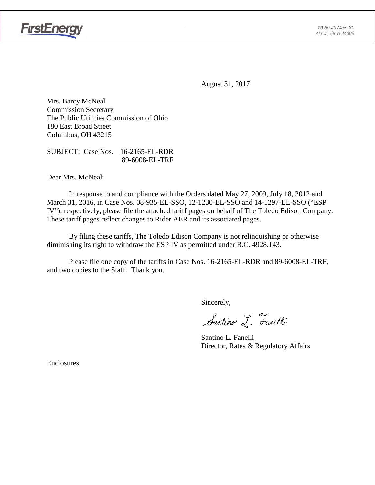

August 31, 2017

Mrs. Barcy McNeal Commission Secretary The Public Utilities Commission of Ohio 180 East Broad Street Columbus, OH 43215

SUBJECT: Case Nos. 16-2165-EL-RDR 89-6008-EL-TRF

Dear Mrs. McNeal:

In response to and compliance with the Orders dated May 27, 2009, July 18, 2012 and March 31, 2016, in Case Nos. 08-935-EL-SSO, 12-1230-EL-SSO and 14-1297-EL-SSO ("ESP IV"), respectively, please file the attached tariff pages on behalf of The Toledo Edison Company. These tariff pages reflect changes to Rider AER and its associated pages.

By filing these tariffs, The Toledo Edison Company is not relinquishing or otherwise diminishing its right to withdraw the ESP IV as permitted under R.C. 4928.143.

Please file one copy of the tariffs in Case Nos. 16-2165-EL-RDR and 89-6008-EL-TRF, and two copies to the Staff. Thank you.

Sincerely,

Santino L. Farelli

Santino L. Fanelli Director, Rates & Regulatory Affairs

Enclosures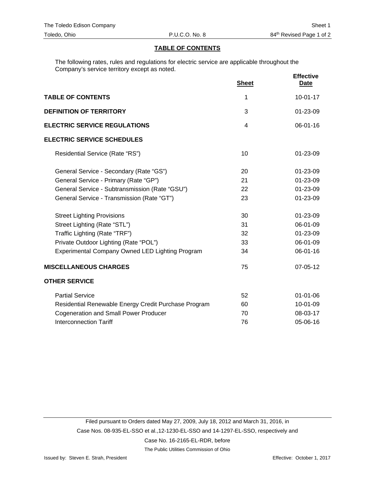### **TABLE OF CONTENTS**

The following rates, rules and regulations for electric service are applicable throughout the Company's service territory except as noted.

|                                                      | <b>Sheet</b> | <b>Effective</b><br><b>Date</b> |
|------------------------------------------------------|--------------|---------------------------------|
| <b>TABLE OF CONTENTS</b>                             | 1            | $10-01-17$                      |
| <b>DEFINITION OF TERRITORY</b>                       | 3            | 01-23-09                        |
| <b>ELECTRIC SERVICE REGULATIONS</b>                  | 4            | $06 - 01 - 16$                  |
| <b>ELECTRIC SERVICE SCHEDULES</b>                    |              |                                 |
| Residential Service (Rate "RS")                      | 10           | 01-23-09                        |
| General Service - Secondary (Rate "GS")              | 20           | 01-23-09                        |
| General Service - Primary (Rate "GP")                | 21           | 01-23-09                        |
| General Service - Subtransmission (Rate "GSU")       | 22           | 01-23-09                        |
| General Service - Transmission (Rate "GT")           | 23           | 01-23-09                        |
| <b>Street Lighting Provisions</b>                    | 30           | 01-23-09                        |
| Street Lighting (Rate "STL")                         | 31           | 06-01-09                        |
| Traffic Lighting (Rate "TRF")                        | 32           | 01-23-09                        |
| Private Outdoor Lighting (Rate "POL")                | 33           | 06-01-09                        |
| Experimental Company Owned LED Lighting Program      | 34           | 06-01-16                        |
| <b>MISCELLANEOUS CHARGES</b>                         | 75           | 07-05-12                        |
| <b>OTHER SERVICE</b>                                 |              |                                 |
| <b>Partial Service</b>                               | 52           | $01 - 01 - 06$                  |
| Residential Renewable Energy Credit Purchase Program | 60           | 10-01-09                        |
| <b>Cogeneration and Small Power Producer</b>         | 70           | 08-03-17                        |
| <b>Interconnection Tariff</b>                        | 76           | 05-06-16                        |

The Public Utilities Commission of Ohio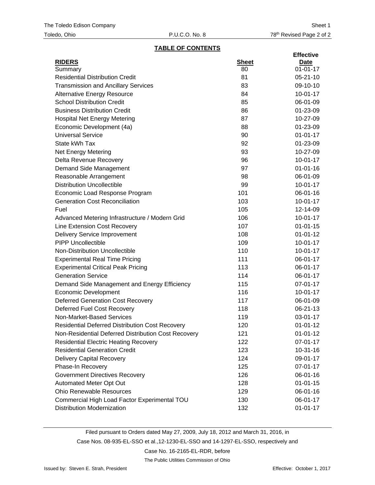#### **TABLE OF CONTENTS**

|                                                        |              | <b>Effective</b> |
|--------------------------------------------------------|--------------|------------------|
| <b>RIDERS</b>                                          | <b>Sheet</b> | <u>Date</u>      |
| Summary                                                | 80           | $01 - 01 - 17$   |
| <b>Residential Distribution Credit</b>                 | 81           | $05 - 21 - 10$   |
| <b>Transmission and Ancillary Services</b>             | 83           | 09-10-10         |
| <b>Alternative Energy Resource</b>                     | 84           | $10-01-17$       |
| <b>School Distribution Credit</b>                      | 85           | 06-01-09         |
| <b>Business Distribution Credit</b>                    | 86           | 01-23-09         |
| <b>Hospital Net Energy Metering</b>                    | 87           | 10-27-09         |
| Economic Development (4a)                              | 88           | 01-23-09         |
| <b>Universal Service</b>                               | 90           | $01 - 01 - 17$   |
| State kWh Tax                                          | 92           | 01-23-09         |
| <b>Net Energy Metering</b>                             | 93           | 10-27-09         |
| Delta Revenue Recovery                                 | 96           | $10-01-17$       |
| Demand Side Management                                 | 97           | $01 - 01 - 16$   |
| Reasonable Arrangement                                 | 98           | 06-01-09         |
| <b>Distribution Uncollectible</b>                      | 99           | $10-01-17$       |
| Economic Load Response Program                         | 101          | 06-01-16         |
| <b>Generation Cost Reconciliation</b>                  | 103          | $10-01-17$       |
| Fuel                                                   | 105          | 12-14-09         |
| Advanced Metering Infrastructure / Modern Grid         | 106          | $10-01-17$       |
| Line Extension Cost Recovery                           | 107          | $01 - 01 - 15$   |
| <b>Delivery Service Improvement</b>                    | 108          | $01 - 01 - 12$   |
| <b>PIPP Uncollectible</b>                              | 109          | $10-01-17$       |
| Non-Distribution Uncollectible                         | 110          | $10-01-17$       |
| <b>Experimental Real Time Pricing</b>                  | 111          | 06-01-17         |
| <b>Experimental Critical Peak Pricing</b>              | 113          | 06-01-17         |
| <b>Generation Service</b>                              | 114          | 06-01-17         |
| Demand Side Management and Energy Efficiency           | 115          | 07-01-17         |
| <b>Economic Development</b>                            | 116          | $10 - 01 - 17$   |
| <b>Deferred Generation Cost Recovery</b>               | 117          | 06-01-09         |
| Deferred Fuel Cost Recovery                            | 118          | 06-21-13         |
| Non-Market-Based Services                              | 119          | 03-01-17         |
| <b>Residential Deferred Distribution Cost Recovery</b> | 120          | $01 - 01 - 12$   |
| Non-Residential Deferred Distribution Cost Recovery    | 121          | $01 - 01 - 12$   |
| <b>Residential Electric Heating Recovery</b>           | 122          | 07-01-17         |
| <b>Residential Generation Credit</b>                   | 123          | $10 - 31 - 16$   |
| <b>Delivery Capital Recovery</b>                       | 124          | 09-01-17         |
| Phase-In Recovery                                      | 125          | 07-01-17         |
| <b>Government Directives Recovery</b>                  | 126          | 06-01-16         |
| Automated Meter Opt Out                                | 128          | $01 - 01 - 15$   |
| <b>Ohio Renewable Resources</b>                        | 129          | 06-01-16         |
| Commercial High Load Factor Experimental TOU           | 130          | 06-01-17         |
| <b>Distribution Modernization</b>                      | 132          | $01 - 01 - 17$   |
|                                                        |              |                  |

Filed pursuant to Orders dated May 27, 2009, July 18, 2012 and March 31, 2016, in

Case Nos. 08-935-EL-SSO et al.,12-1230-EL-SSO and 14-1297-EL-SSO, respectively and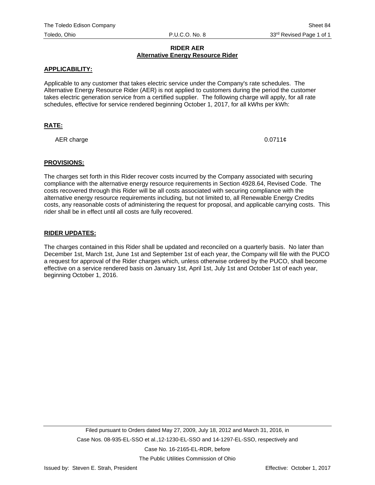# **RIDER AER Alternative Energy Resource Rider**

## **APPLICABILITY:**

Applicable to any customer that takes electric service under the Company's rate schedules. The Alternative Energy Resource Rider (AER) is not applied to customers during the period the customer takes electric generation service from a certified supplier. The following charge will apply, for all rate schedules, effective for service rendered beginning October 1, 2017, for all kWhs per kWh:

# **RATE:**

AER charge  $0.0711¢$ 

#### **PROVISIONS:**

The charges set forth in this Rider recover costs incurred by the Company associated with securing compliance with the alternative energy resource requirements in Section 4928.64, Revised Code. The costs recovered through this Rider will be all costs associated with securing compliance with the alternative energy resource requirements including, but not limited to, all Renewable Energy Credits costs, any reasonable costs of administering the request for proposal, and applicable carrying costs. This rider shall be in effect until all costs are fully recovered.

#### **RIDER UPDATES:**

The charges contained in this Rider shall be updated and reconciled on a quarterly basis. No later than December 1st, March 1st, June 1st and September 1st of each year, the Company will file with the PUCO a request for approval of the Rider charges which, unless otherwise ordered by the PUCO, shall become effective on a service rendered basis on January 1st, April 1st, July 1st and October 1st of each year, beginning October 1, 2016.

The Public Utilities Commission of Ohio